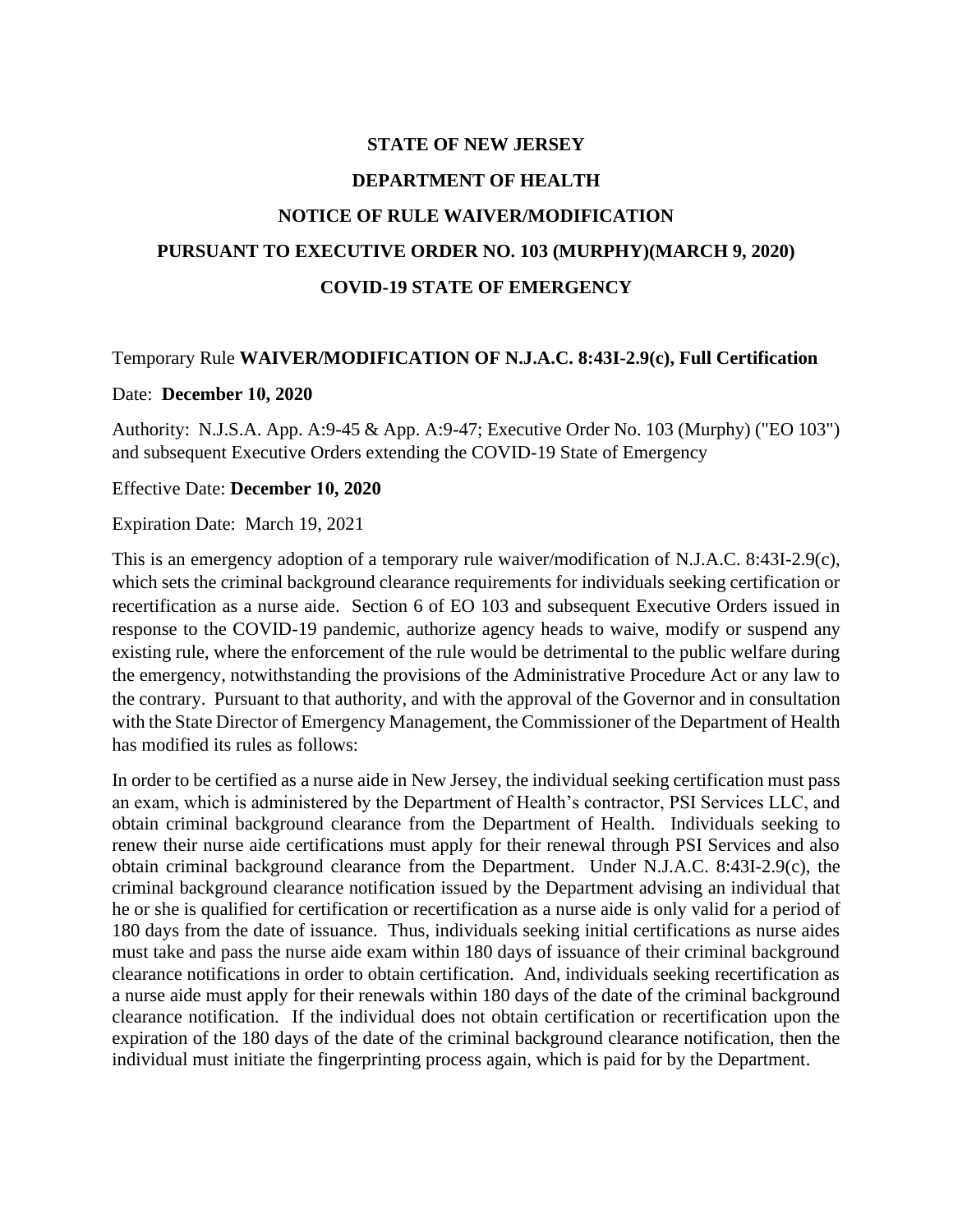# **STATE OF NEW JERSEY DEPARTMENT OF HEALTH NOTICE OF RULE WAIVER/MODIFICATION PURSUANT TO EXECUTIVE ORDER NO. 103 (MURPHY)(MARCH 9, 2020) COVID-19 STATE OF EMERGENCY**

### Temporary Rule **WAIVER/MODIFICATION OF N.J.A.C. 8:43I-2.9(c), Full Certification**

#### Date: **December 10, 2020**

Authority: N.J.S.A. App. A:9-45 & App. A:9-47; Executive Order No. 103 (Murphy) ("EO 103") and subsequent Executive Orders extending the COVID-19 State of Emergency

#### Effective Date: **December 10, 2020**

Expiration Date: March 19, 2021

This is an emergency adoption of a temporary rule waiver/modification of N.J.A.C. 8:43I-2.9(c), which sets the criminal background clearance requirements for individuals seeking certification or recertification as a nurse aide. Section 6 of EO 103 and subsequent Executive Orders issued in response to the COVID-19 pandemic, authorize agency heads to waive, modify or suspend any existing rule, where the enforcement of the rule would be detrimental to the public welfare during the emergency, notwithstanding the provisions of the Administrative Procedure Act or any law to the contrary. Pursuant to that authority, and with the approval of the Governor and in consultation with the State Director of Emergency Management, the Commissioner of the Department of Health has modified its rules as follows:

In order to be certified as a nurse aide in New Jersey, the individual seeking certification must pass an exam, which is administered by the Department of Health's contractor, PSI Services LLC, and obtain criminal background clearance from the Department of Health. Individuals seeking to renew their nurse aide certifications must apply for their renewal through PSI Services and also obtain criminal background clearance from the Department. Under N.J.A.C. 8:43I-2.9(c), the criminal background clearance notification issued by the Department advising an individual that he or she is qualified for certification or recertification as a nurse aide is only valid for a period of 180 days from the date of issuance. Thus, individuals seeking initial certifications as nurse aides must take and pass the nurse aide exam within 180 days of issuance of their criminal background clearance notifications in order to obtain certification. And, individuals seeking recertification as a nurse aide must apply for their renewals within 180 days of the date of the criminal background clearance notification. If the individual does not obtain certification or recertification upon the expiration of the 180 days of the date of the criminal background clearance notification, then the individual must initiate the fingerprinting process again, which is paid for by the Department.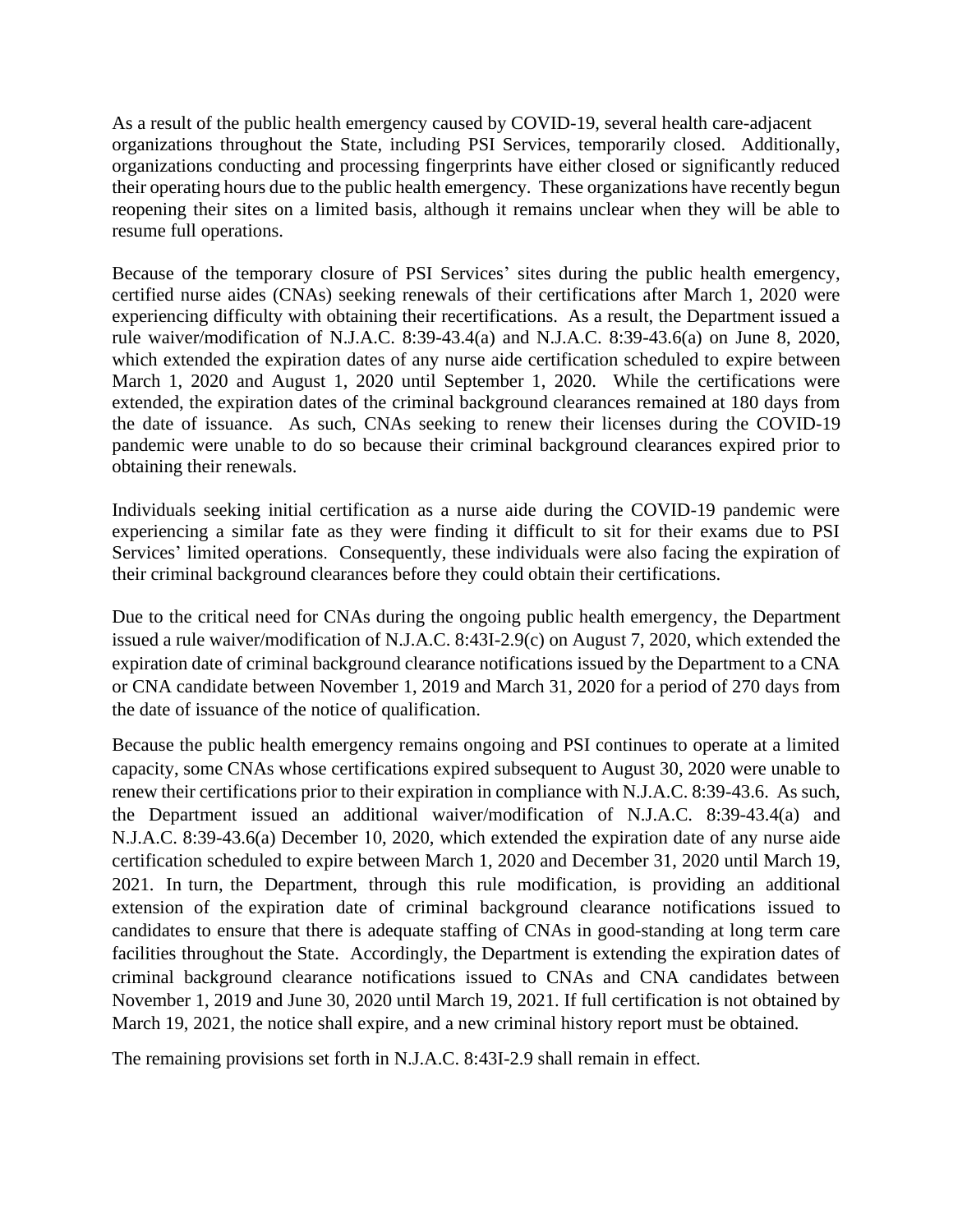As a result of the public health emergency caused by COVID-19, several health care-adjacent organizations throughout the State, including PSI Services, temporarily closed. Additionally, organizations conducting and processing fingerprints have either closed or significantly reduced their operating hours due to the public health emergency. These organizations have recently begun reopening their sites on a limited basis, although it remains unclear when they will be able to resume full operations.

Because of the temporary closure of PSI Services' sites during the public health emergency, certified nurse aides (CNAs) seeking renewals of their certifications after March 1, 2020 were experiencing difficulty with obtaining their recertifications. As a result, the Department issued a rule waiver/modification of N.J.A.C. 8:39-43.4(a) and N.J.A.C. 8:39-43.6(a) on June 8, 2020, which extended the expiration dates of any nurse aide certification scheduled to expire between March 1, 2020 and August 1, 2020 until September 1, 2020. While the certifications were extended, the expiration dates of the criminal background clearances remained at 180 days from the date of issuance. As such, CNAs seeking to renew their licenses during the COVID-19 pandemic were unable to do so because their criminal background clearances expired prior to obtaining their renewals.

Individuals seeking initial certification as a nurse aide during the COVID-19 pandemic were experiencing a similar fate as they were finding it difficult to sit for their exams due to PSI Services' limited operations. Consequently, these individuals were also facing the expiration of their criminal background clearances before they could obtain their certifications.

Due to the critical need for CNAs during the ongoing public health emergency, the Department issued a rule waiver/modification of N.J.A.C. 8:43I-2.9(c) on August 7, 2020, which extended the expiration date of criminal background clearance notifications issued by the Department to a CNA or CNA candidate between November 1, 2019 and March 31, 2020 for a period of 270 days from the date of issuance of the notice of qualification.

Because the public health emergency remains ongoing and PSI continues to operate at a limited capacity, some CNAs whose certifications expired subsequent to August 30, 2020 were unable to renew their certifications prior to their expiration in compliance with N.J.A.C. 8:39-43.6. As such, the Department issued an additional waiver/modification of N.J.A.C. 8:39-43.4(a) and N.J.A.C. 8:39-43.6(a) December 10, 2020, which extended the expiration date of any nurse aide certification scheduled to expire between March 1, 2020 and December 31, 2020 until March 19, 2021. In turn, the Department, through this rule modification, is providing an additional extension of the expiration date of criminal background clearance notifications issued to candidates to ensure that there is adequate staffing of CNAs in good-standing at long term care facilities throughout the State. Accordingly, the Department is extending the expiration dates of criminal background clearance notifications issued to CNAs and CNA candidates between November 1, 2019 and June 30, 2020 until March 19, 2021. If full certification is not obtained by March 19, 2021, the notice shall expire, and a new criminal history report must be obtained.

The remaining provisions set forth in N.J.A.C. 8:43I-2.9 shall remain in effect.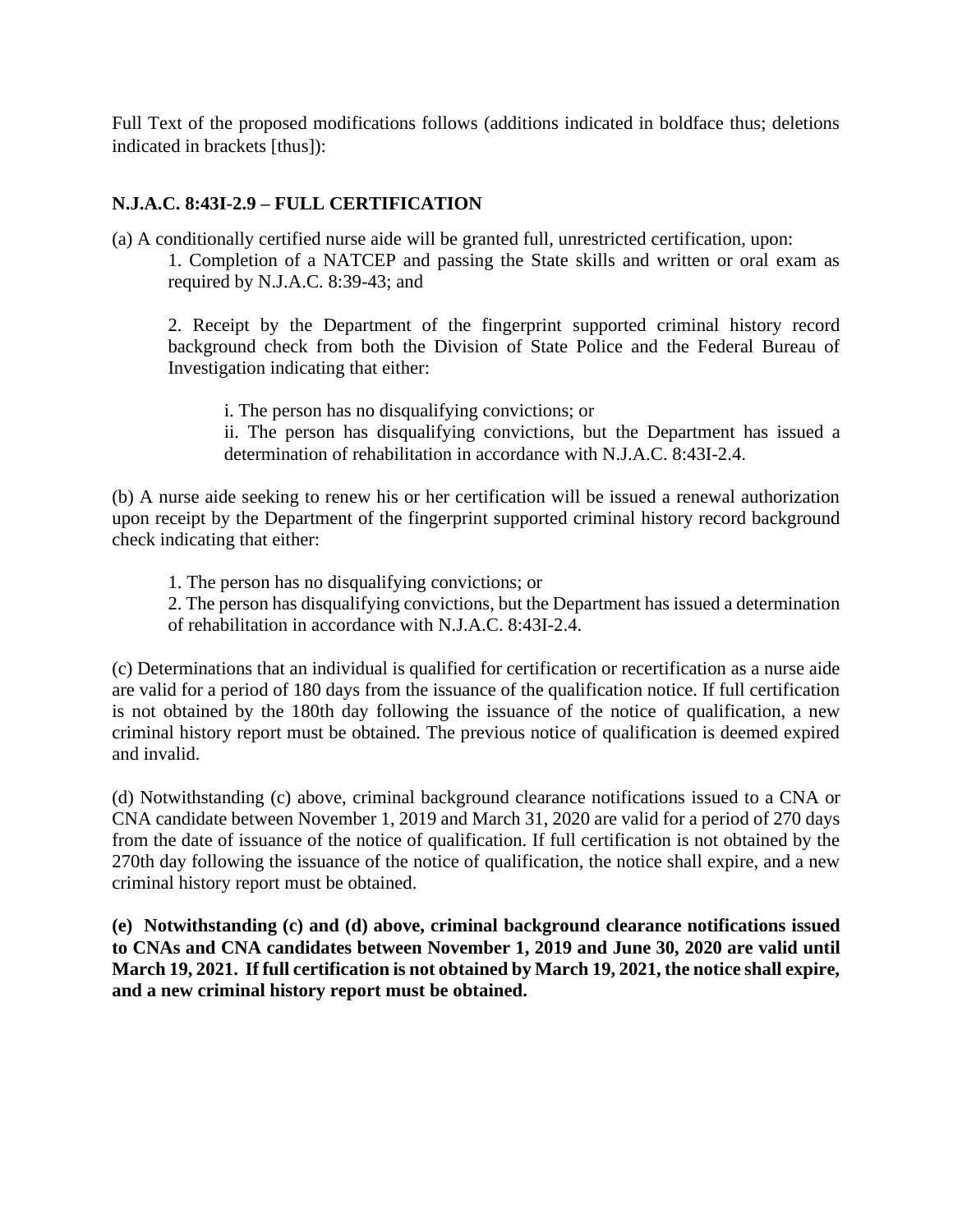Full Text of the proposed modifications follows (additions indicated in boldface thus; deletions indicated in brackets [thus]):

## **N.J.A.C. 8:43I-2.9 – FULL CERTIFICATION**

(a) A conditionally certified nurse aide will be granted full, unrestricted certification, upon:

1. Completion of a NATCEP and passing the State skills and written or oral exam as required by N.J.A.C. 8:39-43; and

2. Receipt by the Department of the fingerprint supported criminal history record background check from both the Division of State Police and the Federal Bureau of Investigation indicating that either:

i. The person has no disqualifying convictions; or ii. The person has disqualifying convictions, but the Department has issued a determination of rehabilitation in accordance with N.J.A.C. 8:43I-2.4.

(b) A nurse aide seeking to renew his or her certification will be issued a renewal authorization upon receipt by the Department of the fingerprint supported criminal history record background check indicating that either:

- 1. The person has no disqualifying convictions; or
- 2. The person has disqualifying convictions, but the Department has issued a determination of rehabilitation in accordance with N.J.A.C. 8:43I-2.4.

(c) Determinations that an individual is qualified for certification or recertification as a nurse aide are valid for a period of 180 days from the issuance of the qualification notice. If full certification is not obtained by the 180th day following the issuance of the notice of qualification, a new criminal history report must be obtained. The previous notice of qualification is deemed expired and invalid.

(d) Notwithstanding (c) above, criminal background clearance notifications issued to a CNA or CNA candidate between November 1, 2019 and March 31, 2020 are valid for a period of 270 days from the date of issuance of the notice of qualification. If full certification is not obtained by the 270th day following the issuance of the notice of qualification, the notice shall expire, and a new criminal history report must be obtained.

**(e) Notwithstanding (c) and (d) above, criminal background clearance notifications issued to CNAs and CNA candidates between November 1, 2019 and June 30, 2020 are valid until March 19, 2021. If full certification is not obtained by March 19, 2021, the notice shall expire, and a new criminal history report must be obtained.**